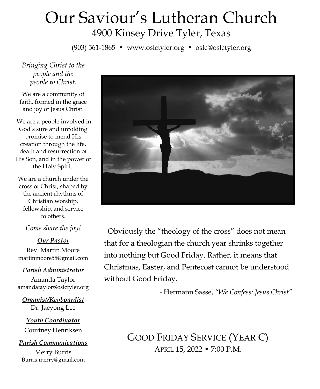# Our Saviour's Lutheran Church 4900 Kinsey Drive Tyler, Texas

(903) 561-1865 • www.oslctyler.org • oslc@oslctyler.org

*Bringing Christ to the people and the people to Christ.*

We are a community of faith, formed in the grace and joy of Jesus Christ.

We are a people involved in God's sure and unfolding promise to mend His creation through the life, death and resurrection of His Son, and in the power of the Holy Spirit.

We are a church under the cross of Christ, shaped by the ancient rhythms of Christian worship, fellowship, and service to others.

#### *Come share the joy!*

#### *Our Pastor*

Rev. Martin Moore martinmoore55@gmail.com

#### *Parish Administrator*

Amanda Taylor amandataylor@oslctyler.org

*Organist/Keyboardist* Dr. Jaeyong Lee

*Youth Coordinator* Courtney Henriksen

*Parish Communications* Merry Burris Burris.merry@gmail.com



 Obviously the "theology of the cross" does not mean that for a theologian the church year shrinks together into nothing but Good Friday. Rather, it means that Christmas, Easter, and Pentecost cannot be understood without Good Friday.

- Hermann Sasse, *"We Confess: Jesus Christ"* 

GOOD FRIDAY SERVICE (YEAR C) APRIL 15, 2022 • 7:00 P.M.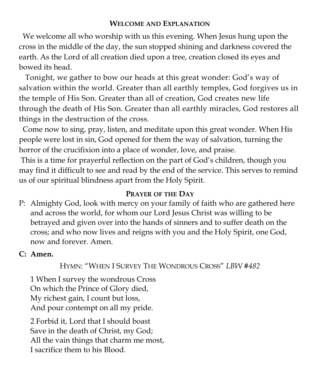#### **WELCOME AND EXPLANATION**

We welcome all who worship with us this evening. When Jesus hung upon the cross in the middle of the day, the sun stopped shining and darkness covered the earth. As the Lord of all creation died upon a tree, creation closed its eyes and bowed its head.

 Tonight, we gather to bow our heads at this great wonder: God's way of salvation within the world. Greater than all earthly temples, God forgives us in the temple of His Son. Greater than all of creation, God creates new life through the death of His Son. Greater than all earthly miracles, God restores all things in the destruction of the cross.

 Come now to sing, pray, listen, and meditate upon this great wonder. When His people were lost in sin, God opened for them the way of salvation, turning the horror of the crucifixion into a place of wonder, love, and praise.

This is a time for prayerful reflection on the part of God's children, though you may find it difficult to see and read by the end of the service. This serves to remind us of our spiritual blindness apart from the Holy Spirit.

## **PRAYER OF THE DAY**

P: Almighty God, look with mercy on your family of faith who are gathered here and across the world, for whom our Lord Jesus Christ was willing to be betrayed and given over into the hands of sinners and to suffer death on the cross; and who now lives and reigns with you and the Holy Spirit, one God, now and forever. Amen.

**C: Amen.**

HYMN: "WHEN I SURVEY THE WONDROUS CROSS" *LBW #482* 

1 When I survey the wondrous Cross On which the Prince of Glory died, My richest gain, I count but loss, And pour contempt on all my pride.

2 Forbid it, Lord that I should boast Save in the death of Christ, my God; All the vain things that charm me most, I sacrifice them to his Blood.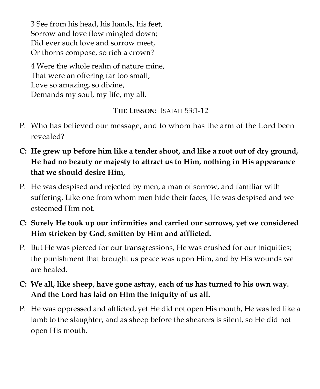3 See from his head, his hands, his feet, Sorrow and love flow mingled down; Did ever such love and sorrow meet, Or thorns compose, so rich a crown?

4 Were the whole realm of nature mine, That were an offering far too small; Love so amazing, so divine, Demands my soul, my life, my all.

# **THE LESSON:** ISAIAH 53:1-12

- P: Who has believed our message, and to whom has the arm of the Lord been revealed?
- **C: He grew up before him like a tender shoot, and like a root out of dry ground, He had no beauty or majesty to attract us to Him, nothing in His appearance that we should desire Him,**
- P: He was despised and rejected by men, a man of sorrow, and familiar with suffering. Like one from whom men hide their faces, He was despised and we esteemed Him not.
- **C: Surely He took up our infirmities and carried our sorrows, yet we considered Him stricken by God, smitten by Him and afflicted.**
- P: But He was pierced for our transgressions, He was crushed for our iniquities; the punishment that brought us peace was upon Him, and by His wounds we are healed.
- **C: We all, like sheep, have gone astray, each of us has turned to his own way. And the Lord has laid on Him the iniquity of us all.**
- P: He was oppressed and afflicted, yet He did not open His mouth, He was led like a lamb to the slaughter, and as sheep before the shearers is silent, so He did not open His mouth.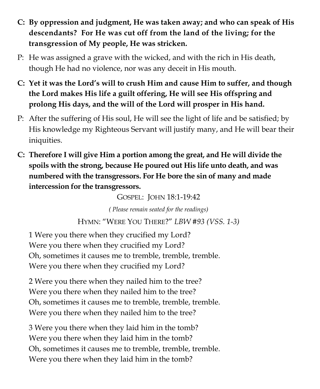- **C: By oppression and judgment, He was taken away; and who can speak of His descendants? For He was cut off from the land of the living; for the transgression of My people, He was stricken.**
- P: He was assigned a grave with the wicked, and with the rich in His death, though He had no violence, nor was any deceit in His mouth.
- **C: Yet it was the Lord's will to crush Him and cause Him to suffer, and though the Lord makes His life a guilt offering, He will see His offspring and prolong His days, and the will of the Lord will prosper in His hand.**
- P: After the suffering of His soul, He will see the light of life and be satisfied; by His knowledge my Righteous Servant will justify many, and He will bear their iniquities.
- **C: Therefore I will give Him a portion among the great, and He will divide the spoils with the strong, because He poured out His life unto death, and was numbered with the transgressors. For He bore the sin of many and made intercession for the transgressors.**

GOSPEL: JOHN 18:1-19:42

*( Please remain seated for the readings)*

HYMN: "WERE YOU THERE?" *LBW #93 (VSS. 1-3)*

1 Were you there when they crucified my Lord? Were you there when they crucified my Lord? Oh, sometimes it causes me to tremble, tremble, tremble. Were you there when they crucified my Lord?

2 Were you there when they nailed him to the tree? Were you there when they nailed him to the tree? Oh, sometimes it causes me to tremble, tremble, tremble. Were you there when they nailed him to the tree?

3 Were you there when they laid him in the tomb? Were you there when they laid him in the tomb? Oh, sometimes it causes me to tremble, tremble, tremble. Were you there when they laid him in the tomb?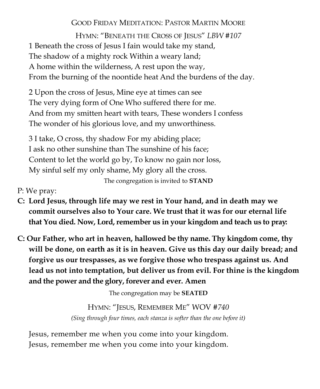# GOOD FRIDAY MEDITATION: PASTOR MARTIN MOORE

HYMN: "BENEATH THE CROSS OF JESUS" *LBW #107*  1 Beneath the cross of Jesus I fain would take my stand, The shadow of a mighty rock Within a weary land; A home within the wilderness, A rest upon the way, From the burning of the noontide heat And the burdens of the day.

2 Upon the cross of Jesus, Mine eye at times can see The very dying form of One Who suffered there for me. And from my smitten heart with tears, These wonders I confess The wonder of his glorious love, and my unworthiness.

3 I take, O cross, thy shadow For my abiding place; I ask no other sunshine than The sunshine of his face; Content to let the world go by, To know no gain nor loss, My sinful self my only shame, My glory all the cross.

The congregation is invited to **STAND**

P: We pray:

- **C: Lord Jesus, through life may we rest in Your hand, and in death may we commit ourselves also to Your care. We trust that it was for our eternal life that You died. Now, Lord, remember us in your kingdom and teach us to pray:**
- **C: Our Father, who art in heaven, hallowed be thy name. Thy kingdom come, thy will be done, on earth as it is in heaven. Give us this day our daily bread; and forgive us our trespasses, as we forgive those who trespass against us. And lead us not into temptation, but deliver us from evil. For thine is the kingdom and the power and the glory, forever and ever. Amen**

The congregation may be **SEATED**

HYMN: "JESUS, REMEMBER ME" WOV *#740 (Sing through four times, each stanza is softer than the one before it)*

Jesus, remember me when you come into your kingdom. Jesus, remember me when you come into your kingdom.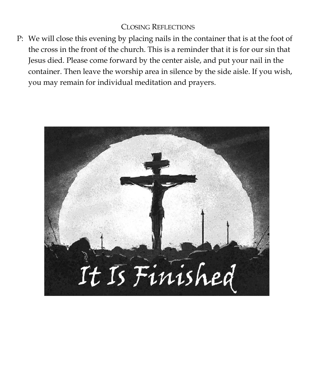## CLOSING REFLECTIONS

P: We will close this evening by placing nails in the container that is at the foot of the cross in the front of the church. This is a reminder that it is for our sin that Jesus died. Please come forward by the center aisle, and put your nail in the container. Then leave the worship area in silence by the side aisle. If you wish, you may remain for individual meditation and prayers.